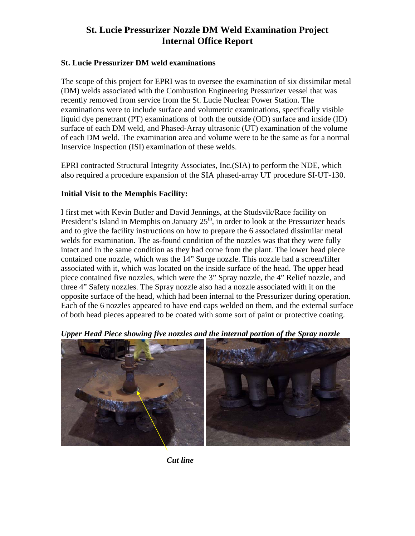#### **St. Lucie Pressurizer DM weld examinations**

The scope of this project for EPRI was to oversee the examination of six dissimilar metal (DM) welds associated with the Combustion Engineering Pressurizer vessel that was recently removed from service from the St. Lucie Nuclear Power Station. The examinations were to include surface and volumetric examinations, specifically visible liquid dye penetrant (PT) examinations of both the outside (OD) surface and inside (ID) surface of each DM weld, and Phased-Array ultrasonic (UT) examination of the volume of each DM weld. The examination area and volume were to be the same as for a normal Inservice Inspection (ISI) examination of these welds.

EPRI contracted Structural Integrity Associates, Inc.(SIA) to perform the NDE, which also required a procedure expansion of the SIA phased-array UT procedure SI-UT-130.

#### **Initial Visit to the Memphis Facility:**

I first met with Kevin Butler and David Jennings, at the Studsvik/Race facility on President's Island in Memphis on January  $25<sup>th</sup>$ , in order to look at the Pressurizer heads and to give the facility instructions on how to prepare the 6 associated dissimilar metal welds for examination. The as-found condition of the nozzles was that they were fully intact and in the same condition as they had come from the plant. The lower head piece contained one nozzle, which was the 14" Surge nozzle. This nozzle had a screen/filter associated with it, which was located on the inside surface of the head. The upper head piece contained five nozzles, which were the 3" Spray nozzle, the 4" Relief nozzle, and three 4" Safety nozzles. The Spray nozzle also had a nozzle associated with it on the opposite surface of the head, which had been internal to the Pressurizer during operation. Each of the 6 nozzles appeared to have end caps welded on them, and the external surface of both head pieces appeared to be coated with some sort of paint or protective coating.



*Upper Head Piece showing five nozzles and the internal portion of the Spray nozzle* 

*Cut line*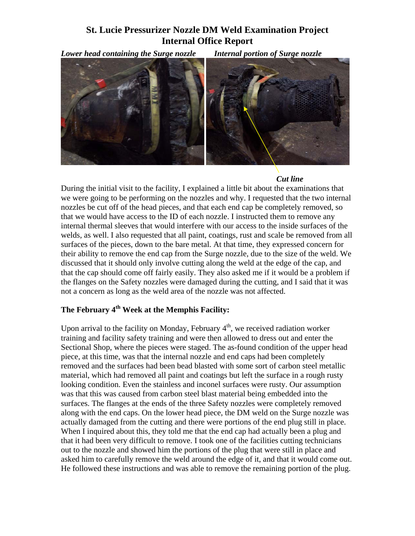*Lower head containing the Surge nozzle Internal portion of Surge nozzle* 



#### *Cut line*

During the initial visit to the facility, I explained a little bit about the examinations that we were going to be performing on the nozzles and why. I requested that the two internal nozzles be cut off of the head pieces, and that each end cap be completely removed, so that we would have access to the ID of each nozzle. I instructed them to remove any internal thermal sleeves that would interfere with our access to the inside surfaces of the welds, as well. I also requested that all paint, coatings, rust and scale be removed from all surfaces of the pieces, down to the bare metal. At that time, they expressed concern for their ability to remove the end cap from the Surge nozzle, due to the size of the weld. We discussed that it should only involve cutting along the weld at the edge of the cap, and that the cap should come off fairly easily. They also asked me if it would be a problem if the flanges on the Safety nozzles were damaged during the cutting, and I said that it was not a concern as long as the weld area of the nozzle was not affected.

#### The February 4<sup>th</sup> Week at the Memphis Facility:

Upon arrival to the facility on Monday, February  $4<sup>th</sup>$ , we received radiation worker training and facility safety training and were then allowed to dress out and enter the Sectional Shop, where the pieces were staged. The as-found condition of the upper head piece, at this time, was that the internal nozzle and end caps had been completely removed and the surfaces had been bead blasted with some sort of carbon steel metallic material, which had removed all paint and coatings but left the surface in a rough rusty looking condition. Even the stainless and inconel surfaces were rusty. Our assumption was that this was caused from carbon steel blast material being embedded into the surfaces. The flanges at the ends of the three Safety nozzles were completely removed along with the end caps. On the lower head piece, the DM weld on the Surge nozzle was actually damaged from the cutting and there were portions of the end plug still in place. When I inquired about this, they told me that the end cap had actually been a plug and that it had been very difficult to remove. I took one of the facilities cutting technicians out to the nozzle and showed him the portions of the plug that were still in place and asked him to carefully remove the weld around the edge of it, and that it would come out. He followed these instructions and was able to remove the remaining portion of the plug.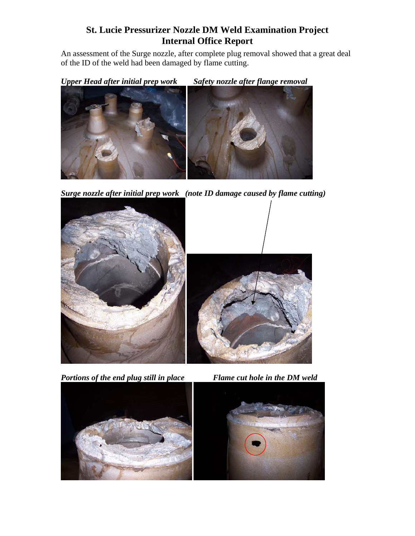An assessment of the Surge nozzle, after complete plug removal showed that a great deal of the ID of the weld had been damaged by flame cutting.

*Upper Head after initial prep work Safety nozzle after flange removal* 



*Surge nozzle after initial prep work (note ID damage caused by flame cutting)* 



*Portions of the end plug still in place* Flame cut hole in the DM weld



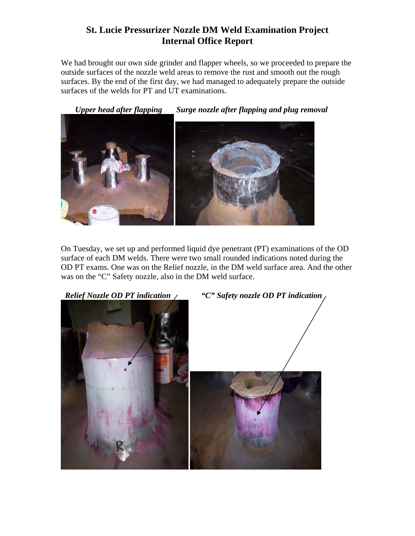We had brought our own side grinder and flapper wheels, so we proceeded to prepare the outside surfaces of the nozzle weld areas to remove the rust and smooth out the rough surfaces. By the end of the first day, we had managed to adequately prepare the outside surfaces of the welds for PT and UT examinations.

*Upper head after flapping Surge nozzle after flapping and plug removal* 



On Tuesday, we set up and performed liquid dye penetrant (PT) examinations of the OD surface of each DM welds. There were two small rounded indications noted during the OD PT exams. One was on the Relief nozzle, in the DM weld surface area. And the other was on the "C" Safety nozzle, also in the DM weld surface.

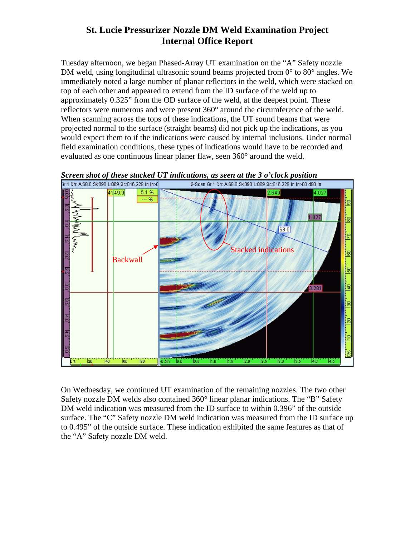Tuesday afternoon, we began Phased-Array UT examination on the "A" Safety nozzle DM weld, using longitudinal ultrasonic sound beams projected from 0° to 80° angles. We immediately noted a large number of planar reflectors in the weld, which were stacked on top of each other and appeared to extend from the ID surface of the weld up to approximately 0.325" from the OD surface of the weld, at the deepest point. These reflectors were numerous and were present 360° around the circumference of the weld. When scanning across the tops of these indications, the UT sound beams that were projected normal to the surface (straight beams) did not pick up the indications, as you would expect them to if the indications were caused by internal inclusions. Under normal field examination conditions, these types of indications would have to be recorded and evaluated as one continuous linear planer flaw, seen 360° around the weld.



*Screen shot of these stacked UT indications, as seen at the 3 o'clock position* 

On Wednesday, we continued UT examination of the remaining nozzles. The two other Safety nozzle DM welds also contained 360° linear planar indications. The "B" Safety DM weld indication was measured from the ID surface to within 0.396" of the outside surface. The "C" Safety nozzle DM weld indication was measured from the ID surface up to 0.495" of the outside surface. These indication exhibited the same features as that of the "A" Safety nozzle DM weld.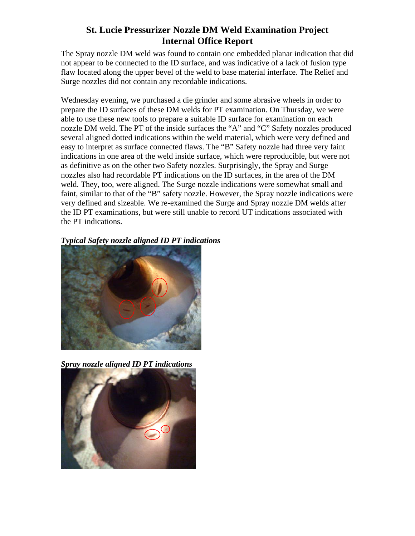The Spray nozzle DM weld was found to contain one embedded planar indication that did not appear to be connected to the ID surface, and was indicative of a lack of fusion type flaw located along the upper bevel of the weld to base material interface. The Relief and Surge nozzles did not contain any recordable indications.

Wednesday evening, we purchased a die grinder and some abrasive wheels in order to prepare the ID surfaces of these DM welds for PT examination. On Thursday, we were able to use these new tools to prepare a suitable ID surface for examination on each nozzle DM weld. The PT of the inside surfaces the "A" and "C" Safety nozzles produced several aligned dotted indications within the weld material, which were very defined and easy to interpret as surface connected flaws. The "B" Safety nozzle had three very faint indications in one area of the weld inside surface, which were reproducible, but were not as definitive as on the other two Safety nozzles. Surprisingly, the Spray and Surge nozzles also had recordable PT indications on the ID surfaces, in the area of the DM weld. They, too, were aligned. The Surge nozzle indications were somewhat small and faint, similar to that of the "B" safety nozzle. However, the Spray nozzle indications were very defined and sizeable. We re-examined the Surge and Spray nozzle DM welds after the ID PT examinations, but were still unable to record UT indications associated with the PT indications.

*Typical Safety nozzle aligned ID PT indications* 



*Spray nozzle aligned ID PT indications* 

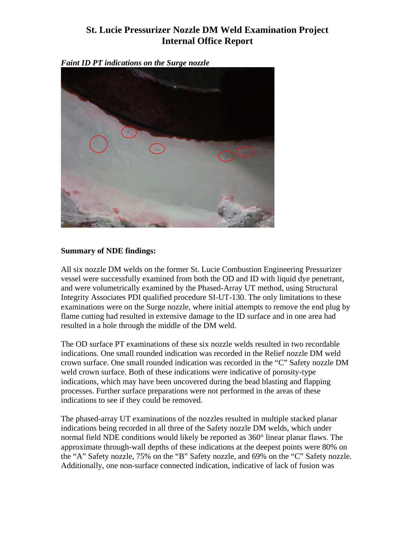*Faint ID PT indications on the Surge nozzle* 



#### **Summary of NDE findings:**

All six nozzle DM welds on the former St. Lucie Combustion Engineering Pressurizer vessel were successfully examined from both the OD and ID with liquid dye penetrant, and were volumetrically examined by the Phased-Array UT method, using Structural Integrity Associates PDI qualified procedure SI-UT-130. The only limitations to these examinations were on the Surge nozzle, where initial attempts to remove the end plug by flame cutting had resulted in extensive damage to the ID surface and in one area had resulted in a hole through the middle of the DM weld.

The OD surface PT examinations of these six nozzle welds resulted in two recordable indications. One small rounded indication was recorded in the Relief nozzle DM weld crown surface. One small rounded indication was recorded in the "C" Safety nozzle DM weld crown surface. Both of these indications were indicative of porosity-type indications, which may have been uncovered during the bead blasting and flapping processes. Further surface preparations were not performed in the areas of these indications to see if they could be removed.

The phased-array UT examinations of the nozzles resulted in multiple stacked planar indications being recorded in all three of the Safety nozzle DM welds, which under normal field NDE conditions would likely be reported as 360° linear planar flaws. The approximate through-wall depths of these indications at the deepest points were 80% on the "A" Safety nozzle, 75% on the "B" Safety nozzle, and 69% on the "C" Safety nozzle. Additionally, one non-surface connected indication, indicative of lack of fusion was